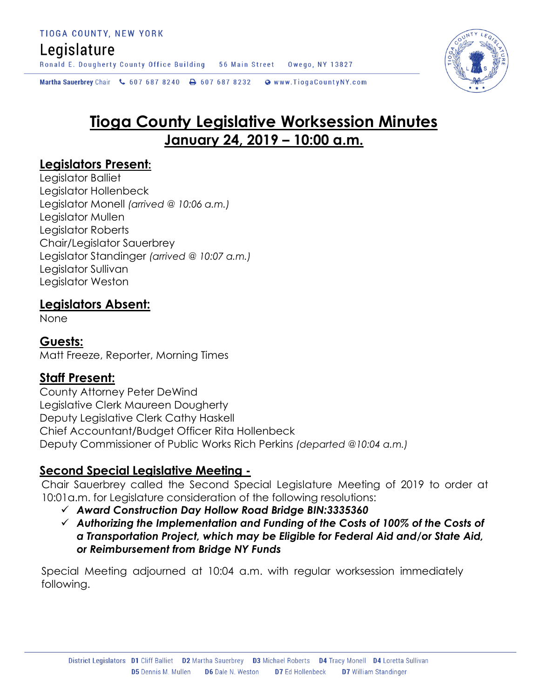## Legislature

Ronald E. Dougherty County Office Building 56 Main Street Owego, NY 13827

Martha Sauerbrey Chair & 607 687 8240 <a>B</a>607 687 8232 <a>B</a>Www.TiogaCountyNY.com

# **Tioga County Legislative Worksession Minutes January 24, 2019 – 10:00 a.m.**

### **Legislators Present:**

Legislator Balliet Legislator Hollenbeck Legislator Monell *(arrived @ 10:06 a.m.)* Legislator Mullen Legislator Roberts Chair/Legislator Sauerbrey Legislator Standinger *(arrived @ 10:07 a.m.)* Legislator Sullivan Legislator Weston

### **Legislators Absent:**

None

### **Guests:**

Matt Freeze, Reporter, Morning Times

### **Staff Present:**

County Attorney Peter DeWind Legislative Clerk Maureen Dougherty Deputy Legislative Clerk Cathy Haskell Chief Accountant/Budget Officer Rita Hollenbeck Deputy Commissioner of Public Works Rich Perkins *(departed @10:04 a.m.)*

### **Second Special Legislative Meeting -**

Chair Sauerbrey called the Second Special Legislature Meeting of 2019 to order at 10:01a.m. for Legislature consideration of the following resolutions:

- *Award Construction Day Hollow Road Bridge BIN:3335360*
- *Authorizing the Implementation and Funding of the Costs of 100% of the Costs of a Transportation Project, which may be Eligible for Federal Aid and/or State Aid, or Reimbursement from Bridge NY Funds*

Special Meeting adjourned at 10:04 a.m. with regular worksession immediately following.

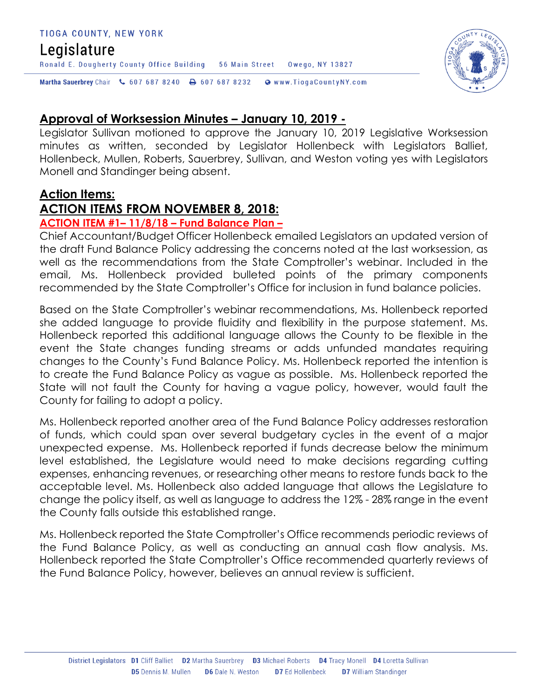#### TIOGA COUNTY, NEW YORK

### Legislature

Martha Sauerbrey Chair & 607 687 8240 & 607 687 8232 Www.TiogaCountyNY.com

### **Approval of Worksession Minutes – January 10, 2019 -**

Legislator Sullivan motioned to approve the January 10, 2019 Legislative Worksession minutes as written, seconded by Legislator Hollenbeck with Legislators Balliet, Hollenbeck, Mullen, Roberts, Sauerbrey, Sullivan, and Weston voting yes with Legislators Monell and Standinger being absent.

Owego, NY 13827

### **Action Items:**

### **ACTION ITEMS FROM NOVEMBER 8, 2018:**

Ronald E. Dougherty County Office Building 56 Main Street

### **ACTION ITEM #1– 11/8/18 – Fund Balance Plan –**

Chief Accountant/Budget Officer Hollenbeck emailed Legislators an updated version of the draft Fund Balance Policy addressing the concerns noted at the last worksession, as well as the recommendations from the State Comptroller's webinar. Included in the email, Ms. Hollenbeck provided bulleted points of the primary components recommended by the State Comptroller's Office for inclusion in fund balance policies.

Based on the State Comptroller's webinar recommendations, Ms. Hollenbeck reported she added language to provide fluidity and flexibility in the purpose statement. Ms. Hollenbeck reported this additional language allows the County to be flexible in the event the State changes funding streams or adds unfunded mandates requiring changes to the County's Fund Balance Policy. Ms. Hollenbeck reported the intention is to create the Fund Balance Policy as vague as possible. Ms. Hollenbeck reported the State will not fault the County for having a vague policy, however, would fault the County for failing to adopt a policy.

Ms. Hollenbeck reported another area of the Fund Balance Policy addresses restoration of funds, which could span over several budgetary cycles in the event of a major unexpected expense. Ms. Hollenbeck reported if funds decrease below the minimum level established, the Legislature would need to make decisions regarding cutting expenses, enhancing revenues, or researching other means to restore funds back to the acceptable level. Ms. Hollenbeck also added language that allows the Legislature to change the policy itself, as well as language to address the 12% - 28% range in the event the County falls outside this established range.

Ms. Hollenbeck reported the State Comptroller's Office recommends periodic reviews of the Fund Balance Policy, as well as conducting an annual cash flow analysis. Ms. Hollenbeck reported the State Comptroller's Office recommended quarterly reviews of the Fund Balance Policy, however, believes an annual review is sufficient.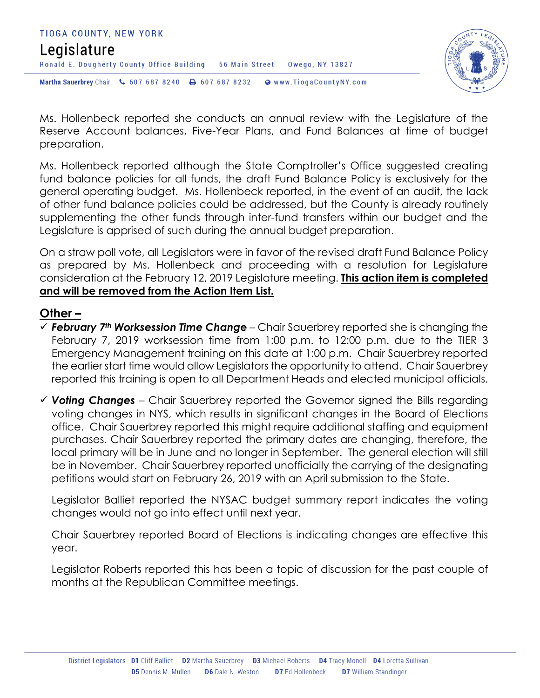



Ms. Hollenbeck reported she conducts an annual review with the Legislature of the Reserve Account balances, Five-Year Plans, and Fund Balances at time of budget preparation.

Ms. Hollenbeck reported although the State Comptroller's Office suggested creating fund balance policies for all funds, the draft Fund Balance Policy is exclusively for the general operating budget. Ms. Hollenbeck reported, in the event of an audit, the lack of other fund balance policies could be addressed, but the County is already routinely supplementing the other funds through inter-fund transfers within our budget and the Legislature is apprised of such during the annual budget preparation.

On a straw poll vote, all Legislators were in favor of the revised draft Fund Balance Policy as prepared by Ms. Hollenbeck and proceeding with a resolution for Legislature consideration at the February 12, 2019 Legislature meeting. **This action item is completed and will be removed from the Action Item List.** 

### **Other –**

- *February 7th Worksession Time Change* Chair Sauerbrey reported she is changing the February 7, 2019 worksession time from 1:00 p.m. to 12:00 p.m. due to the TIER 3 Emergency Management training on this date at 1:00 p.m. Chair Sauerbrey reported the earlier start time would allow Legislators the opportunity to attend. Chair Sauerbrey reported this training is open to all Department Heads and elected municipal officials.
- *Voting Changes* Chair Sauerbrey reported the Governor signed the Bills regarding voting changes in NYS, which results in significant changes in the Board of Elections office. Chair Sauerbrey reported this might require additional staffing and equipment purchases. Chair Sauerbrey reported the primary dates are changing, therefore, the local primary will be in June and no longer in September. The general election will still be in November. Chair Sauerbrey reported unofficially the carrying of the designating petitions would start on February 26, 2019 with an April submission to the State.

Legislator Balliet reported the NYSAC budget summary report indicates the voting changes would not go into effect until next year.

Chair Sauerbrey reported Board of Elections is indicating changes are effective this year.

Legislator Roberts reported this has been a topic of discussion for the past couple of months at the Republican Committee meetings.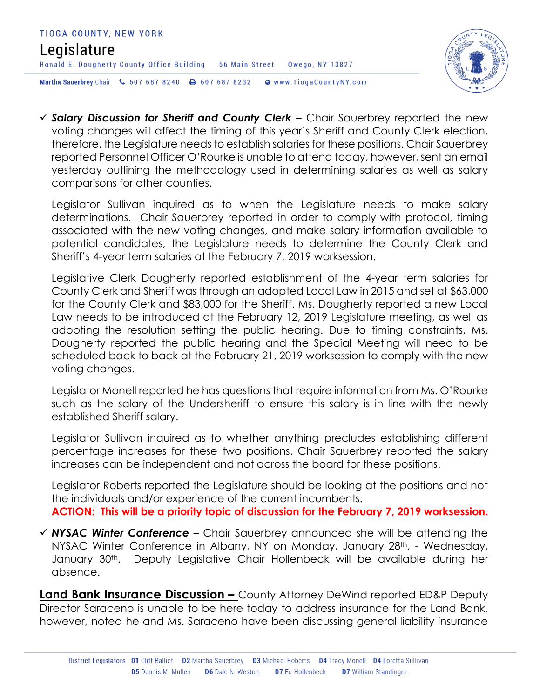



 *Salary Discussion for Sheriff and County Clerk –* Chair Sauerbrey reported the new voting changes will affect the timing of this year's Sheriff and County Clerk election, therefore, the Legislature needs to establish salaries for these positions. Chair Sauerbrey reported Personnel Officer O'Rourke is unable to attend today, however, sent an email yesterday outlining the methodology used in determining salaries as well as salary comparisons for other counties.

Legislator Sullivan inquired as to when the Legislature needs to make salary determinations. Chair Sauerbrey reported in order to comply with protocol, timing associated with the new voting changes, and make salary information available to potential candidates, the Legislature needs to determine the County Clerk and Sheriff's 4-year term salaries at the February 7, 2019 worksession.

Legislative Clerk Dougherty reported establishment of the 4-year term salaries for County Clerk and Sheriff was through an adopted Local Law in 2015 and set at \$63,000 for the County Clerk and \$83,000 for the Sheriff. Ms. Dougherty reported a new Local Law needs to be introduced at the February 12, 2019 Legislature meeting, as well as adopting the resolution setting the public hearing. Due to timing constraints, Ms. Dougherty reported the public hearing and the Special Meeting will need to be scheduled back to back at the February 21, 2019 worksession to comply with the new voting changes.

Legislator Monell reported he has questions that require information from Ms. O'Rourke such as the salary of the Undersheriff to ensure this salary is in line with the newly established Sheriff salary.

Legislator Sullivan inquired as to whether anything precludes establishing different percentage increases for these two positions. Chair Sauerbrey reported the salary increases can be independent and not across the board for these positions.

Legislator Roberts reported the Legislature should be looking at the positions and not the individuals and/or experience of the current incumbents. **ACTION: This will be a priority topic of discussion for the February 7, 2019 worksession.** 

 *NYSAC Winter Conference –* Chair Sauerbrey announced she will be attending the NYSAC Winter Conference in Albany, NY on Monday, January 28<sup>th</sup>, - Wednesday, January 30<sup>th</sup>. Deputy Legislative Chair Hollenbeck will be available during her absence.

**Land Bank Insurance Discussion –** County Attorney DeWind reported ED&P Deputy Director Saraceno is unable to be here today to address insurance for the Land Bank, however, noted he and Ms. Saraceno have been discussing general liability insurance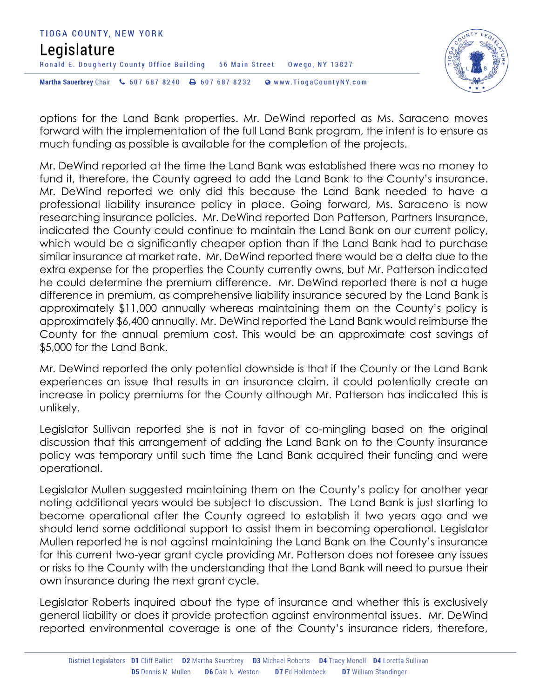



options for the Land Bank properties. Mr. DeWind reported as Ms. Saraceno moves forward with the implementation of the full Land Bank program, the intent is to ensure as much funding as possible is available for the completion of the projects.

Mr. DeWind reported at the time the Land Bank was established there was no money to fund it, therefore, the County agreed to add the Land Bank to the County's insurance. Mr. DeWind reported we only did this because the Land Bank needed to have a professional liability insurance policy in place. Going forward, Ms. Saraceno is now researching insurance policies. Mr. DeWind reported Don Patterson, Partners Insurance, indicated the County could continue to maintain the Land Bank on our current policy, which would be a significantly cheaper option than if the Land Bank had to purchase similar insurance at market rate. Mr. DeWind reported there would be a delta due to the extra expense for the properties the County currently owns, but Mr. Patterson indicated he could determine the premium difference. Mr. DeWind reported there is not a huge difference in premium, as comprehensive liability insurance secured by the Land Bank is approximately \$11,000 annually whereas maintaining them on the County's policy is approximately \$6,400 annually. Mr. DeWind reported the Land Bank would reimburse the County for the annual premium cost. This would be an approximate cost savings of \$5,000 for the Land Bank.

Mr. DeWind reported the only potential downside is that if the County or the Land Bank experiences an issue that results in an insurance claim, it could potentially create an increase in policy premiums for the County although Mr. Patterson has indicated this is unlikely.

Legislator Sullivan reported she is not in favor of co-mingling based on the original discussion that this arrangement of adding the Land Bank on to the County insurance policy was temporary until such time the Land Bank acquired their funding and were operational.

Legislator Mullen suggested maintaining them on the County's policy for another year noting additional years would be subject to discussion. The Land Bank is just starting to become operational after the County agreed to establish it two years ago and we should lend some additional support to assist them in becoming operational. Legislator Mullen reported he is not against maintaining the Land Bank on the County's insurance for this current two-year grant cycle providing Mr. Patterson does not foresee any issues or risks to the County with the understanding that the Land Bank will need to pursue their own insurance during the next grant cycle.

Legislator Roberts inquired about the type of insurance and whether this is exclusively general liability or does it provide protection against environmental issues. Mr. DeWind reported environmental coverage is one of the County's insurance riders, therefore,